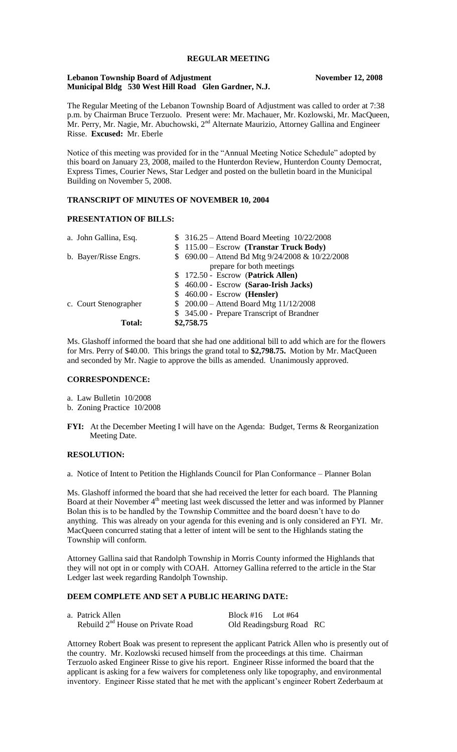# **REGULAR MEETING**

## **Lebanon Township Board of Adjustment November 12, 2008 Municipal Bldg 530 West Hill Road Glen Gardner, N.J.**

The Regular Meeting of the Lebanon Township Board of Adjustment was called to order at 7:38 p.m. by Chairman Bruce Terzuolo. Present were: Mr. Machauer, Mr. Kozlowski, Mr. MacQueen, Mr. Perry, Mr. Nagie, Mr. Abuchowski, 2<sup>nd</sup> Alternate Maurizio, Attorney Gallina and Engineer Risse. **Excused:** Mr. Eberle

Notice of this meeting was provided for in the "Annual Meeting Notice Schedule" adopted by this board on January 23, 2008, mailed to the Hunterdon Review, Hunterdon County Democrat, Express Times, Courier News, Star Ledger and posted on the bulletin board in the Municipal Building on November 5, 2008.

## **TRANSCRIPT OF MINUTES OF NOVEMBER 10, 2004**

#### **PRESENTATION OF BILLS:**

| <b>Total:</b>         | \$2,758.75                                          |
|-----------------------|-----------------------------------------------------|
|                       | \$ 345.00 - Prepare Transcript of Brandner          |
| c. Court Stenographer | $$200.00 - Attend$ Board Mtg $11/12/2008$           |
|                       | $$460.00 - Escrow$ (Hensler)                        |
|                       | \$ 460.00 - Escrow (Sarao-Irish Jacks)              |
|                       | \$ 172.50 - Escrow (Patrick Allen)                  |
|                       | prepare for both meetings                           |
| b. Bayer/Risse Engrs. | \$ 690.00 - Attend Bd Mtg $9/24/2008 \& 10/22/2008$ |
|                       | $$115.00 - Escrow$ (Transtar Truck Body)            |
| a. John Gallina, Esq. | \$ 316.25 – Attend Board Meeting 10/22/2008         |
|                       |                                                     |

Ms. Glashoff informed the board that she had one additional bill to add which are for the flowers for Mrs. Perry of \$40.00. This brings the grand total to **\$2,798.75.** Motion by Mr. MacQueen and seconded by Mr. Nagie to approve the bills as amended. Unanimously approved.

## **CORRESPONDENCE:**

a. Law Bulletin 10/2008

- b. Zoning Practice 10/2008
- **FYI:** At the December Meeting I will have on the Agenda: Budget, Terms & Reorganization Meeting Date.

#### **RESOLUTION:**

a. Notice of Intent to Petition the Highlands Council for Plan Conformance – Planner Bolan

Ms. Glashoff informed the board that she had received the letter for each board. The Planning Board at their November 4<sup>th</sup> meeting last week discussed the letter and was informed by Planner Bolan this is to be handled by the Township Committee and the board doesn't have to do anything. This was already on your agenda for this evening and is only considered an FYI. Mr. MacQueen concurred stating that a letter of intent will be sent to the Highlands stating the Township will conform.

Attorney Gallina said that Randolph Township in Morris County informed the Highlands that they will not opt in or comply with COAH. Attorney Gallina referred to the article in the Star Ledger last week regarding Randolph Township.

## **DEEM COMPLETE AND SET A PUBLIC HEARING DATE:**

| a. Patrick Allen                              | $Block #16$ Lot #64      |
|-----------------------------------------------|--------------------------|
| Rebuild 2 <sup>nd</sup> House on Private Road | Old Readingsburg Road RC |

Attorney Robert Boak was present to represent the applicant Patrick Allen who is presently out of the country. Mr. Kozlowski recused himself from the proceedings at this time. Chairman Terzuolo asked Engineer Risse to give his report. Engineer Risse informed the board that the applicant is asking for a few waivers for completeness only like topography, and environmental inventory. Engineer Risse stated that he met with the applicant's engineer Robert Zederbaum at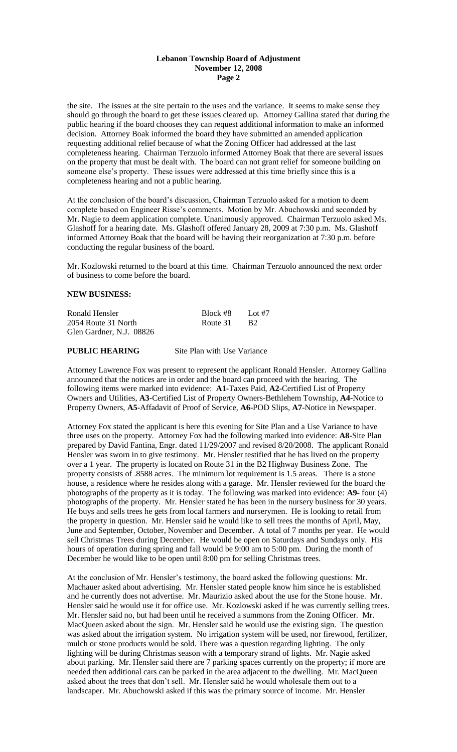## **Lebanon Township Board of Adjustment November 12, 2008 Page 2**

the site. The issues at the site pertain to the uses and the variance. It seems to make sense they should go through the board to get these issues cleared up. Attorney Gallina stated that during the public hearing if the board chooses they can request additional information to make an informed decision. Attorney Boak informed the board they have submitted an amended application requesting additional relief because of what the Zoning Officer had addressed at the last completeness hearing. Chairman Terzuolo informed Attorney Boak that there are several issues on the property that must be dealt with. The board can not grant relief for someone building on someone else's property. These issues were addressed at this time briefly since this is a completeness hearing and not a public hearing.

At the conclusion of the board's discussion, Chairman Terzuolo asked for a motion to deem complete based on Engineer Risse's comments. Motion by Mr. Abuchowski and seconded by Mr. Nagie to deem application complete. Unanimously approved. Chairman Terzuolo asked Ms. Glashoff for a hearing date. Ms. Glashoff offered January 28, 2009 at 7:30 p.m. Ms. Glashoff informed Attorney Boak that the board will be having their reorganization at 7:30 p.m. before conducting the regular business of the board.

Mr. Kozlowski returned to the board at this time. Chairman Terzuolo announced the next order of business to come before the board.

## **NEW BUSINESS:**

| Ronald Hensler           | Block #8 | Lot #7           |
|--------------------------|----------|------------------|
| 2054 Route 31 North      | Route 31 | - R <sub>2</sub> |
| Glen Gardner, N.J. 08826 |          |                  |

#### **PUBLIC HEARING** Site Plan with Use Variance

Attorney Lawrence Fox was present to represent the applicant Ronald Hensler. Attorney Gallina announced that the notices are in order and the board can proceed with the hearing. The following items were marked into evidence: **A1**-Taxes Paid, **A2**-Certified List of Property Owners and Utilities, **A3-**Certified List of Property Owners-Bethlehem Township, **A4-**Notice to Property Owners, **A5**-Affadavit of Proof of Service, **A6**-POD Slips, **A7**-Notice in Newspaper.

Attorney Fox stated the applicant is here this evening for Site Plan and a Use Variance to have three uses on the property. Attorney Fox had the following marked into evidence: **A8-**Site Plan prepared by David Fantina, Engr. dated 11/29/2007 and revised 8/20/2008. The applicant Ronald Hensler was sworn in to give testimony. Mr. Hensler testified that he has lived on the property over a 1 year. The property is located on Route 31 in the B2 Highway Business Zone. The property consists of .8588 acres. The minimum lot requirement is 1.5 areas. There is a stone house, a residence where he resides along with a garage. Mr. Hensler reviewed for the board the photographs of the property as it is today. The following was marked into evidence: **A9-** four (4) photographs of the property. Mr. Hensler stated he has been in the nursery business for 30 years. He buys and sells trees he gets from local farmers and nurserymen. He is looking to retail from the property in question. Mr. Hensler said he would like to sell trees the months of April, May, June and September, October, November and December. A total of 7 months per year. He would sell Christmas Trees during December. He would be open on Saturdays and Sundays only. His hours of operation during spring and fall would be 9:00 am to 5:00 pm. During the month of December he would like to be open until 8:00 pm for selling Christmas trees.

At the conclusion of Mr. Hensler's testimony, the board asked the following questions: Mr. Machauer asked about advertising. Mr. Hensler stated people know him since he is established and he currently does not advertise. Mr. Maurizio asked about the use for the Stone house. Mr. Hensler said he would use it for office use. Mr. Kozlowski asked if he was currently selling trees. Mr. Hensler said no, but had been until he received a summons from the Zoning Officer. Mr. MacQueen asked about the sign. Mr. Hensler said he would use the existing sign. The question was asked about the irrigation system. No irrigation system will be used, nor firewood, fertilizer, mulch or stone products would be sold. There was a question regarding lighting. The only lighting will be during Christmas season with a temporary strand of lights. Mr. Nagie asked about parking. Mr. Hensler said there are 7 parking spaces currently on the property; if more are needed then additional cars can be parked in the area adjacent to the dwelling. Mr. MacQueen asked about the trees that don't sell. Mr. Hensler said he would wholesale them out to a landscaper. Mr. Abuchowski asked if this was the primary source of income. Mr. Hensler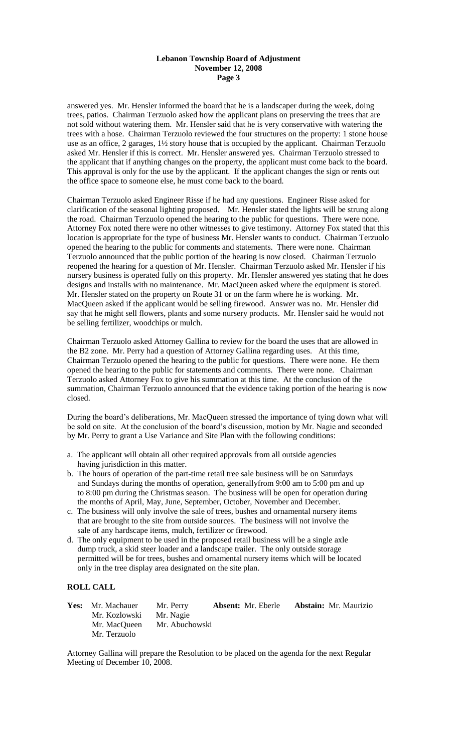## **Lebanon Township Board of Adjustment November 12, 2008 Page 3**

answered yes. Mr. Hensler informed the board that he is a landscaper during the week, doing trees, patios. Chairman Terzuolo asked how the applicant plans on preserving the trees that are not sold without watering them. Mr. Hensler said that he is very conservative with watering the trees with a hose. Chairman Terzuolo reviewed the four structures on the property: 1 stone house use as an office, 2 garages, 1½ story house that is occupied by the applicant. Chairman Terzuolo asked Mr. Hensler if this is correct. Mr. Hensler answered yes. Chairman Terzuolo stressed to the applicant that if anything changes on the property, the applicant must come back to the board. This approval is only for the use by the applicant. If the applicant changes the sign or rents out the office space to someone else, he must come back to the board.

Chairman Terzuolo asked Engineer Risse if he had any questions. Engineer Risse asked for clarification of the seasonal lighting proposed. Mr. Hensler stated the lights will be strung along the road. Chairman Terzuolo opened the hearing to the public for questions. There were none. Attorney Fox noted there were no other witnesses to give testimony. Attorney Fox stated that this location is appropriate for the type of business Mr. Hensler wants to conduct. Chairman Terzuolo opened the hearing to the public for comments and statements. There were none. Chairman Terzuolo announced that the public portion of the hearing is now closed. Chairman Terzuolo reopened the hearing for a question of Mr. Hensler. Chairman Terzuolo asked Mr. Hensler if his nursery business is operated fully on this property. Mr. Hensler answered yes stating that he does designs and installs with no maintenance. Mr. MacQueen asked where the equipment is stored. Mr. Hensler stated on the property on Route 31 or on the farm where he is working. Mr. MacQueen asked if the applicant would be selling firewood. Answer was no. Mr. Hensler did say that he might sell flowers, plants and some nursery products. Mr. Hensler said he would not be selling fertilizer, woodchips or mulch.

Chairman Terzuolo asked Attorney Gallina to review for the board the uses that are allowed in the B2 zone. Mr. Perry had a question of Attorney Gallina regarding uses. At this time, Chairman Terzuolo opened the hearing to the public for questions. There were none. He them opened the hearing to the public for statements and comments. There were none. Chairman Terzuolo asked Attorney Fox to give his summation at this time. At the conclusion of the summation, Chairman Terzuolo announced that the evidence taking portion of the hearing is now closed.

During the board's deliberations, Mr. MacQueen stressed the importance of tying down what will be sold on site. At the conclusion of the board's discussion, motion by Mr. Nagie and seconded by Mr. Perry to grant a Use Variance and Site Plan with the following conditions:

- a. The applicant will obtain all other required approvals from all outside agencies having jurisdiction in this matter.
- b. The hours of operation of the part-time retail tree sale business will be on Saturdays and Sundays during the months of operation, generallyfrom 9:00 am to 5:00 pm and up to 8:00 pm during the Christmas season. The business will be open for operation during the months of April, May, June, September, October, November and December.
- c. The business will only involve the sale of trees, bushes and ornamental nursery items that are brought to the site from outside sources. The business will not involve the sale of any hardscape items, mulch, fertilizer or firewood.
- d. The only equipment to be used in the proposed retail business will be a single axle dump truck, a skid steer loader and a landscape trailer. The only outside storage permitted will be for trees, bushes and ornamental nursery items which will be located only in the tree display area designated on the site plan.

## **ROLL CALL**

| <b>Yes:</b> Mr. Machauer | Mr. Perry      | <b>Absent:</b> Mr. Eberle | <b>Abstain:</b> Mr. Maurizio |
|--------------------------|----------------|---------------------------|------------------------------|
| Mr. Kozlowski            | Mr. Nagie      |                           |                              |
| Mr. MacQueen             | Mr. Abuchowski |                           |                              |
| Mr. Terzuolo             |                |                           |                              |

Attorney Gallina will prepare the Resolution to be placed on the agenda for the next Regular Meeting of December 10, 2008.